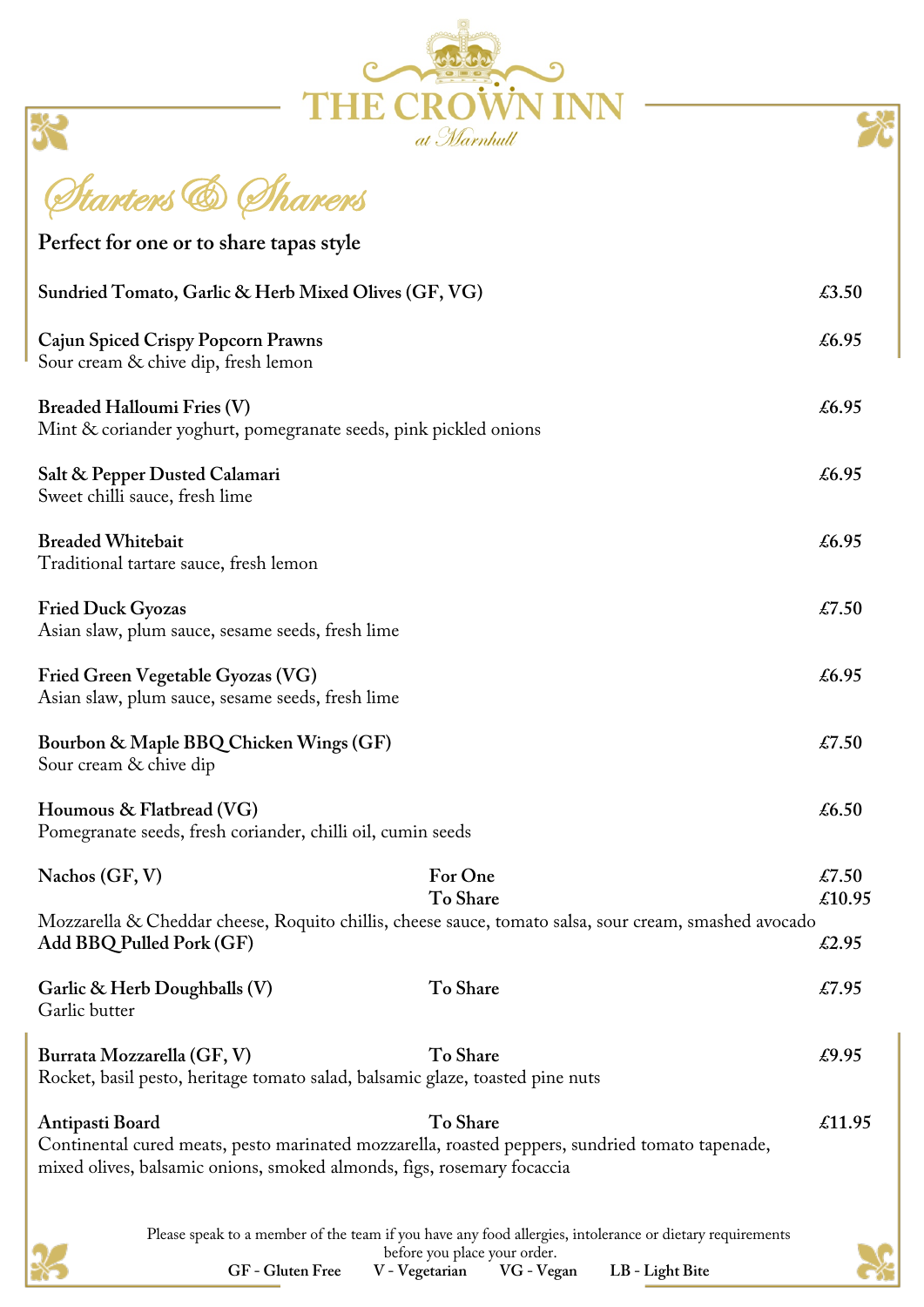|                                                                                                                                   | at Marnhull         |                 |
|-----------------------------------------------------------------------------------------------------------------------------------|---------------------|-----------------|
| Starters & Tharers                                                                                                                |                     |                 |
| Perfect for one or to share tapas style                                                                                           |                     |                 |
| Sundried Tomato, Garlic & Herb Mixed Olives (GF, VG)                                                                              |                     | $\pounds3.50$   |
| Cajun Spiced Crispy Popcorn Prawns<br>Sour cream & chive dip, fresh lemon                                                         |                     | £6.95           |
| <b>Breaded Halloumi Fries (V)</b><br>Mint & coriander yoghurt, pomegranate seeds, pink pickled onions                             |                     | £6.95           |
| Salt & Pepper Dusted Calamari<br>Sweet chilli sauce, fresh lime                                                                   |                     | £6.95           |
| <b>Breaded Whitebait</b><br>Traditional tartare sauce, fresh lemon                                                                |                     | £6.95           |
| <b>Fried Duck Gyozas</b><br>Asian slaw, plum sauce, sesame seeds, fresh lime                                                      |                     | £7.50           |
| Fried Green Vegetable Gyozas (VG)<br>Asian slaw, plum sauce, sesame seeds, fresh lime                                             |                     | £6.95           |
| Bourbon & Maple BBQ Chicken Wings (GF)<br>Sour cream & chive dip                                                                  |                     | £7.50           |
| Houmous & Flatbread (VG)<br>Pomegranate seeds, fresh coriander, chilli oil, cumin seeds                                           |                     | £6.50           |
| Nachos (GF, V)                                                                                                                    | For One<br>To Share | £7.50<br>€10.95 |
| Mozzarella & Cheddar cheese, Roquito chillis, cheese sauce, tomato salsa, sour cream, smashed avocado<br>Add BBQ Pulled Pork (GF) |                     | $\pounds2.95$   |
| Garlic & Herb Doughballs (V)<br>Garlic butter                                                                                     | To Share            | £7.95           |
| Burrata Mozzarella (GF, V)<br>Rocket, basil pesto, heritage tomato salad, balsamic glaze, toasted pine nuts                       | To Share            | £9.95           |
| Antipasti Board                                                                                                                   | To Share            | £11.95          |

Continental cured meats, pesto marinated mozzarella, roasted peppers, sundried tomato tapenade, mixed olives, balsamic onions, smoked almonds, figs, rosemary focaccia

> Please speak to a member of the team if you have any food allergies, intolerance or dietary requirements before you place your order.



**GF - Gluten Free V - Vegetarian VG - Vegan LB - Light Bite**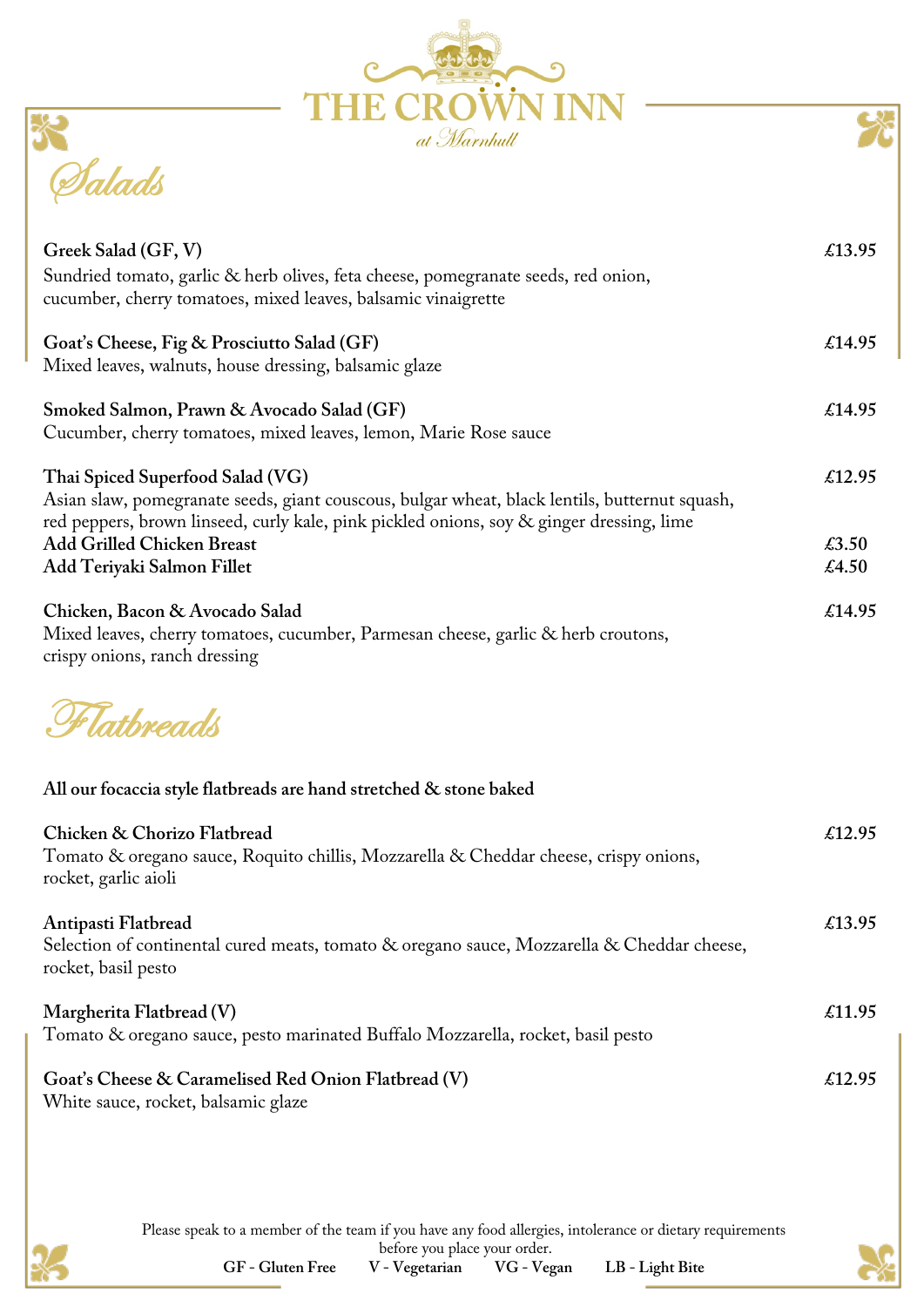| at Marnhull                                                                                                                                                                                                                                                                                      |                          |
|--------------------------------------------------------------------------------------------------------------------------------------------------------------------------------------------------------------------------------------------------------------------------------------------------|--------------------------|
|                                                                                                                                                                                                                                                                                                  |                          |
| Greek Salad (GF, V)<br>Sundried tomato, garlic & herb olives, feta cheese, pomegranate seeds, red onion,<br>cucumber, cherry tomatoes, mixed leaves, balsamic vinaigrette                                                                                                                        | £13.95                   |
| Goat's Cheese, Fig & Prosciutto Salad (GF)<br>Mixed leaves, walnuts, house dressing, balsamic glaze                                                                                                                                                                                              | £14.95                   |
| Smoked Salmon, Prawn & Avocado Salad (GF)<br>Cucumber, cherry tomatoes, mixed leaves, lemon, Marie Rose sauce                                                                                                                                                                                    | £14.95                   |
| Thai Spiced Superfood Salad (VG)<br>Asian slaw, pomegranate seeds, giant couscous, bulgar wheat, black lentils, butternut squash,<br>red peppers, brown linseed, curly kale, pink pickled onions, soy & ginger dressing, lime<br><b>Add Grilled Chicken Breast</b><br>Add Teriyaki Salmon Fillet | £12.95<br>£3.50<br>£4.50 |
| Chicken, Bacon & Avocado Salad<br>Mixed leaves, cherry tomatoes, cucumber, Parmesan cheese, garlic & herb croutons,<br>crispy onions, ranch dressing                                                                                                                                             | £14.95                   |
| <i>Flathread</i>                                                                                                                                                                                                                                                                                 |                          |
| All our focaccia style flatbreads are hand stretched & stone baked                                                                                                                                                                                                                               |                          |
| Chicken & Chorizo Flatbread<br>Tomato & oregano sauce, Roquito chillis, Mozzarella & Cheddar cheese, crispy onions,<br>rocket, garlic aioli                                                                                                                                                      | £12.95                   |
| Antipasti Flatbread<br>Selection of continental cured meats, tomato & oregano sauce, Mozzarella & Cheddar cheese,<br>rocket, basil pesto                                                                                                                                                         | £13.95                   |
| Margherita Flatbread (V)<br>Tomato & oregano sauce, pesto marinated Buffalo Mozzarella, rocket, basil pesto                                                                                                                                                                                      | £11.95                   |
| Goat's Cheese & Caramelised Red Onion Flatbread (V)<br>White sauce, rocket, balsamic glaze                                                                                                                                                                                                       | £12.95                   |

Please speak to a member of the team if you have any food allergies, intolerance or dietary requirements before you place your order.



**GF - Gluten Free V - Vegetarian VG - Vegan LB - Light Bite**

- 
- 

SK)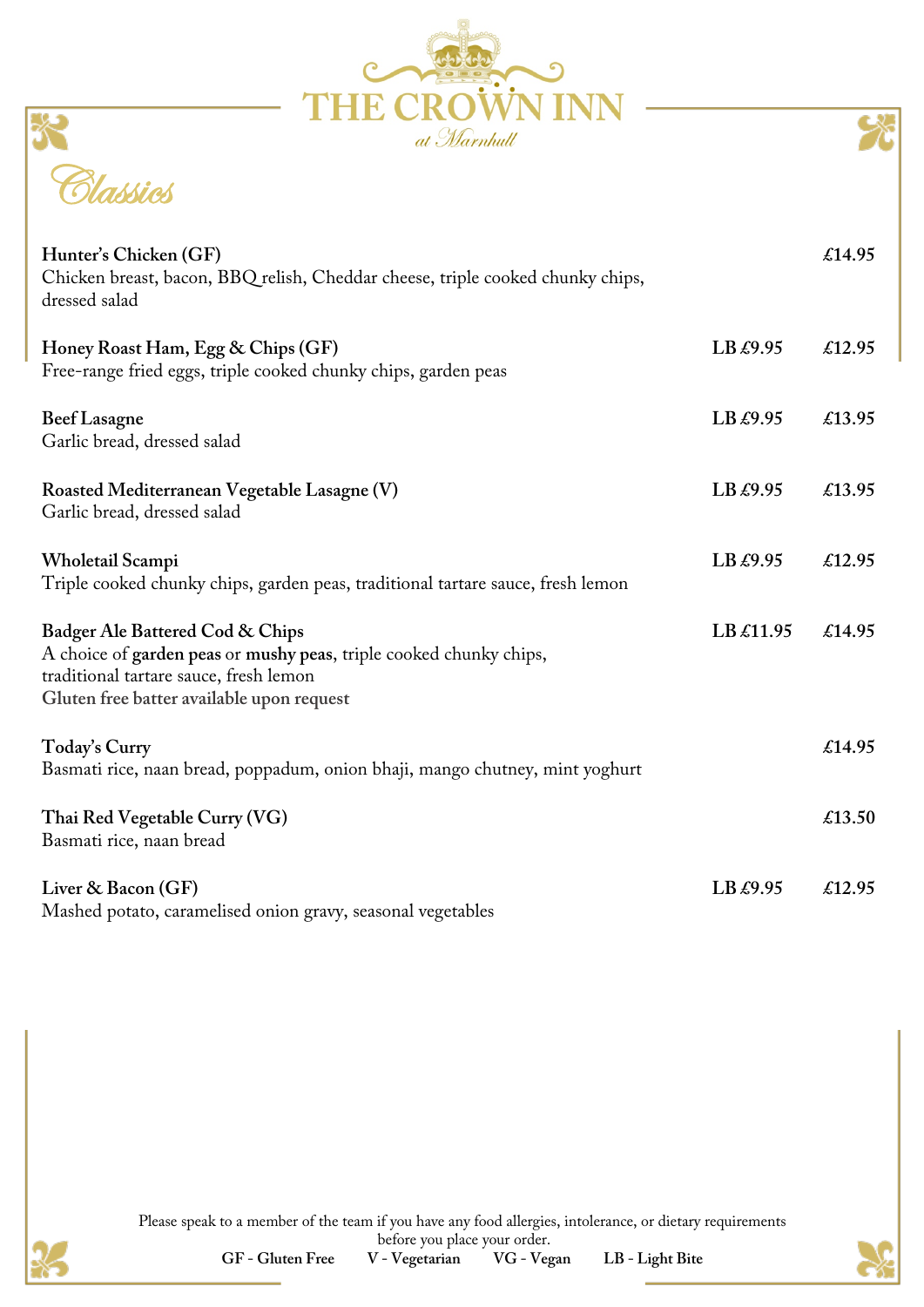| <b>THE CROWN INN</b><br>at Marnhull |
|-------------------------------------|

| Classics |  |
|----------|--|

| Hunter's Chicken (GF)<br>Chicken breast, bacon, BBQ relish, Cheddar cheese, triple cooked chunky chips,<br>dressed salad                                                                     |           | £14.95 |
|----------------------------------------------------------------------------------------------------------------------------------------------------------------------------------------------|-----------|--------|
| Honey Roast Ham, Egg & Chips (GF)<br>Free-range fried eggs, triple cooked chunky chips, garden peas                                                                                          | LB £9.95  | £12.95 |
| <b>Beef Lasagne</b><br>Garlic bread, dressed salad                                                                                                                                           | LB £9.95  | £13.95 |
| Roasted Mediterranean Vegetable Lasagne (V)<br>Garlic bread, dressed salad                                                                                                                   | LB £9.95  | £13.95 |
| Wholetail Scampi<br>Triple cooked chunky chips, garden peas, traditional tartare sauce, fresh lemon                                                                                          | LB £9.95  | £12.95 |
| Badger Ale Battered Cod & Chips<br>A choice of garden peas or mushy peas, triple cooked chunky chips,<br>traditional tartare sauce, fresh lemon<br>Gluten free batter available upon request | LB £11.95 | £14.95 |
| Today's Curry<br>Basmati rice, naan bread, poppadum, onion bhaji, mango chutney, mint yoghurt                                                                                                |           | £14.95 |
| Thai Red Vegetable Curry (VG)<br>Basmati rice, naan bread                                                                                                                                    |           | £13.50 |
| Liver & Bacon (GF)<br>Mashed potato, caramelised onion gravy, seasonal vegetables                                                                                                            | LB £9.95  | £12.95 |

Please speak to a member of the team if you have any food allergies, intolerance, or dietary requirements before you place your order.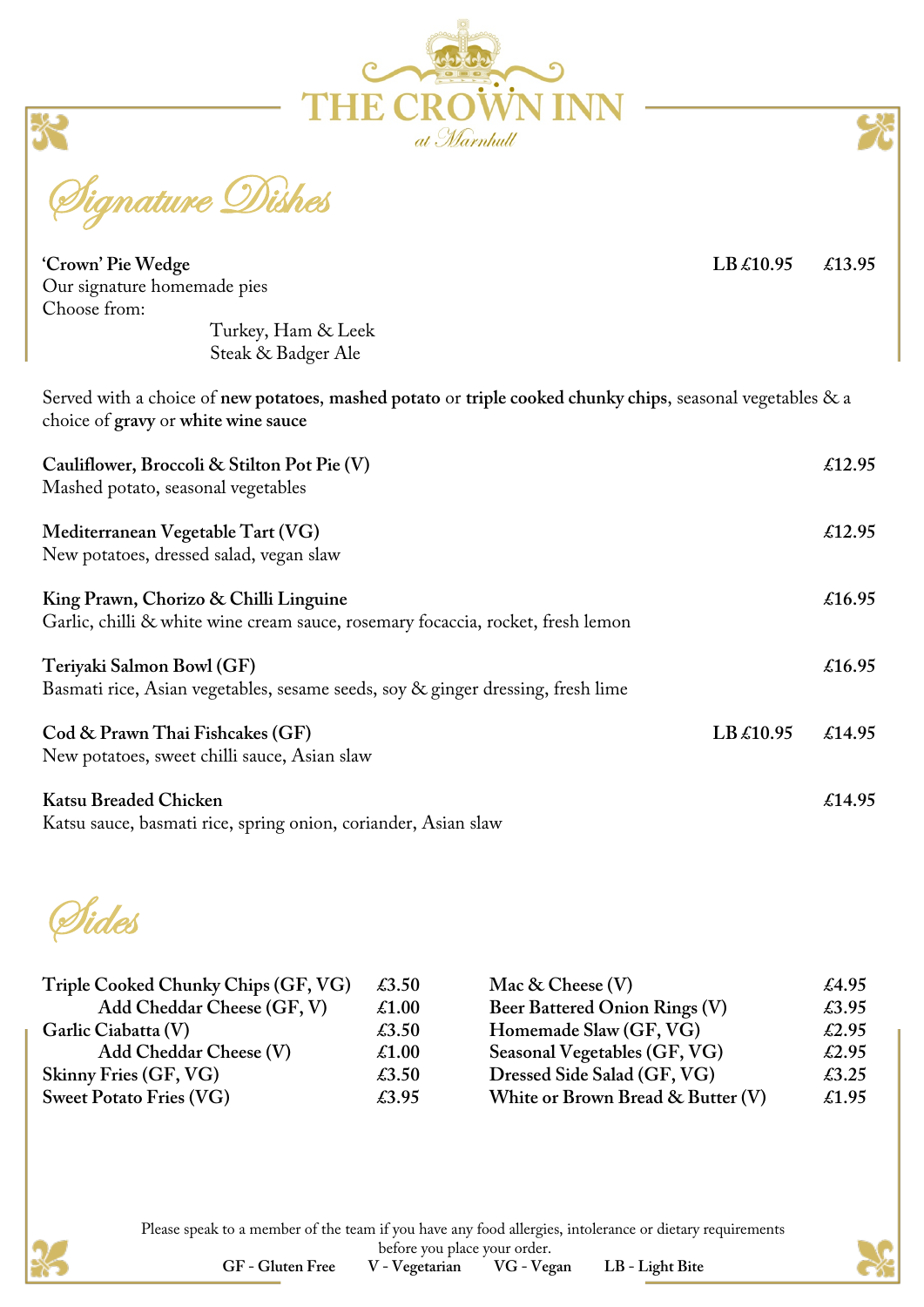

nature Dishes

| 'Crown' Pie Wedge                                                                                                                                 | LB £10.95 | £13.95 |
|---------------------------------------------------------------------------------------------------------------------------------------------------|-----------|--------|
| Our signature homemade pies                                                                                                                       |           |        |
| Choose from:                                                                                                                                      |           |        |
| Turkey, Ham & Leek                                                                                                                                |           |        |
| Steak & Badger Ale                                                                                                                                |           |        |
| Served with a choice of new potatoes, mashed potato or triple cooked chunky chips, seasonal vegetables & a<br>choice of gravy or white wine sauce |           |        |
| Cauliflower, Broccoli & Stilton Pot Pie (V)<br>Mashed potato, seasonal vegetables                                                                 |           | £12.95 |
| Mediterranean Vegetable Tart (VG)<br>New potatoes, dressed salad, vegan slaw                                                                      |           | £12.95 |
| King Prawn, Chorizo & Chilli Linguine<br>Garlic, chilli & white wine cream sauce, rosemary focaccia, rocket, fresh lemon                          |           | £16.95 |
| Teriyaki Salmon Bowl (GF)<br>Basmati rice, Asian vegetables, sesame seeds, soy & ginger dressing, fresh lime                                      |           | £16.95 |
| Cod & Prawn Thai Fishcakes (GF)<br>New potatoes, sweet chilli sauce, Asian slaw                                                                   | LB £10.95 | £14.95 |
| Katsu Breaded Chicken<br>Katsu sauce, basmati rice, spring onion, coriander, Asian slaw                                                           |           | £14.95 |

Sides

| Triple Cooked Chunky Chips (GF, VG) | $\pounds3.50$ | Mac & Cheese $(V)$                | $\text{\pounds}4.95$ |
|-------------------------------------|---------------|-----------------------------------|----------------------|
| Add Cheddar Cheese (GF, V)          | £1.00         | Beer Battered Onion Rings (V)     | £3.95                |
| Garlic Ciabatta (V)                 | $\pounds3.50$ | Homemade Slaw (GF, VG)            | $\pounds2.95$        |
| Add Cheddar Cheese (V)              | £1.00         | Seasonal Vegetables (GF, VG)      | £2.95                |
| Skinny Fries (GF, VG)               | $\pounds3.50$ | Dressed Side Salad (GF, VG)       | $\pounds3.25$        |
| <b>Sweet Potato Fries (VG)</b>      | £3.95         | White or Brown Bread & Butter (V) | £1.95                |





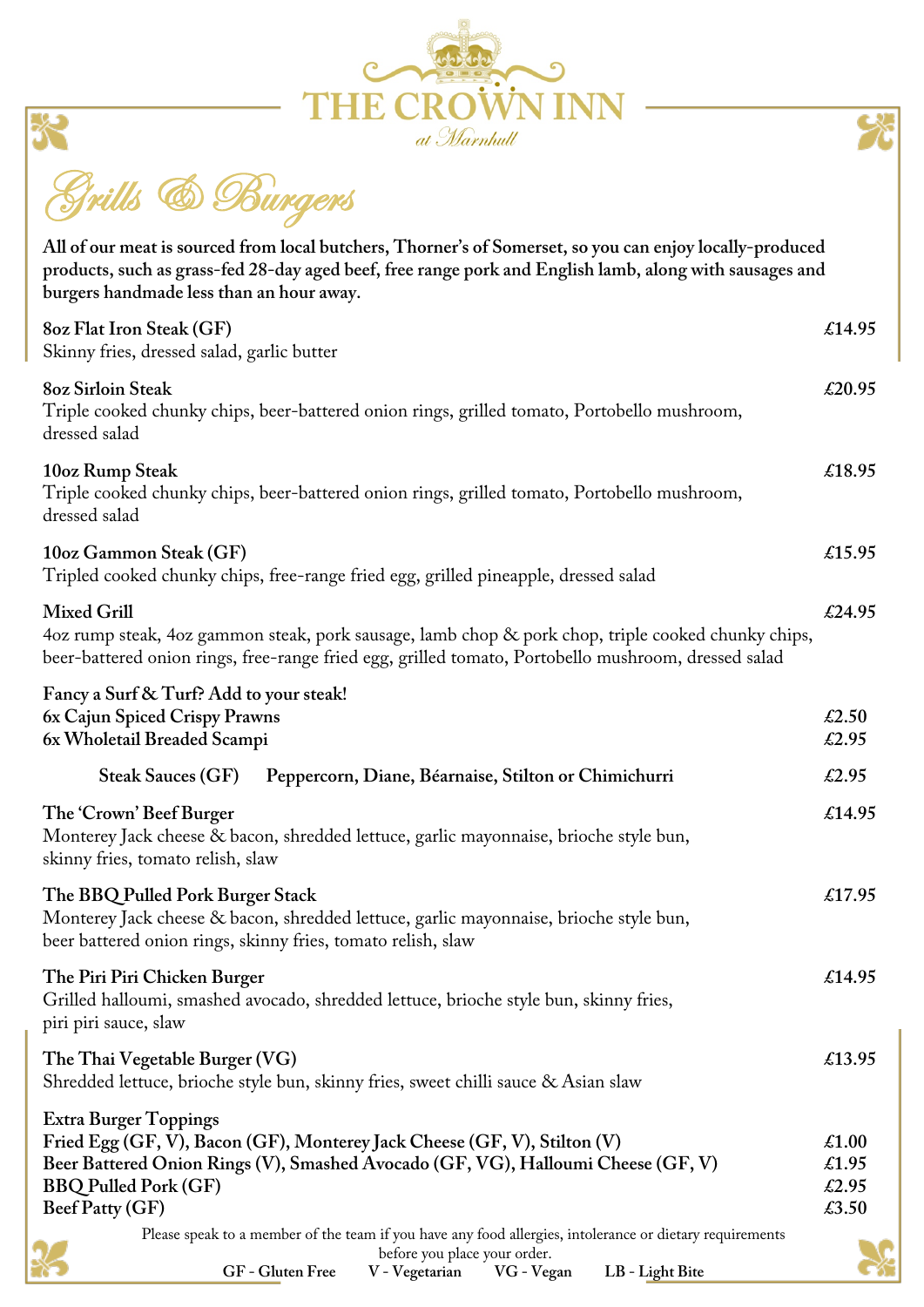



Grills & Burgers

炎

| All of our meat is sourced from local butchers, Thorner's of Somerset, so you can enjoy locally-produced<br>products, such as grass-fed 28-day aged beef, free range pork and English lamb, along with sausages and<br>burgers handmade less than an hour away. |                                  |
|-----------------------------------------------------------------------------------------------------------------------------------------------------------------------------------------------------------------------------------------------------------------|----------------------------------|
| 80z Flat Iron Steak (GF)<br>Skinny fries, dressed salad, garlic butter                                                                                                                                                                                          | £14.95                           |
| <b>8oz Sirloin Steak</b><br>Triple cooked chunky chips, beer-battered onion rings, grilled tomato, Portobello mushroom,<br>dressed salad                                                                                                                        | £20.95                           |
| 10oz Rump Steak<br>Triple cooked chunky chips, beer-battered onion rings, grilled tomato, Portobello mushroom,<br>dressed salad                                                                                                                                 | £18.95                           |
| 10oz Gammon Steak (GF)<br>Tripled cooked chunky chips, free-range fried egg, grilled pineapple, dressed salad                                                                                                                                                   | £15.95                           |
| <b>Mixed Grill</b><br>4oz rump steak, 4oz gammon steak, pork sausage, lamb chop & pork chop, triple cooked chunky chips,<br>beer-battered onion rings, free-range fried egg, grilled tomato, Portobello mushroom, dressed salad                                 | £24.95                           |
| Fancy a Surf & Turf? Add to your steak!<br>6x Cajun Spiced Crispy Prawns<br>6x Wholetail Breaded Scampi                                                                                                                                                         | £2.50<br>£2.95                   |
| Peppercorn, Diane, Béarnaise, Stilton or Chimichurri<br><b>Steak Sauces (GF)</b>                                                                                                                                                                                | £2.95                            |
| The 'Crown' Beef Burger<br>Monterey Jack cheese & bacon, shredded lettuce, garlic mayonnaise, brioche style bun,<br>skinny fries, tomato relish, slaw                                                                                                           | £14.95                           |
| The BBQ Pulled Pork Burger Stack<br>Monterey Jack cheese & bacon, shredded lettuce, garlic mayonnaise, brioche style bun,<br>beer battered onion rings, skinny fries, tomato relish, slaw                                                                       | £17.95                           |
| The Piri Piri Chicken Burger<br>Grilled halloumi, smashed avocado, shredded lettuce, brioche style bun, skinny fries,<br>piri piri sauce, slaw                                                                                                                  | £14.95                           |
| The Thai Vegetable Burger (VG)<br>Shredded lettuce, brioche style bun, skinny fries, sweet chilli sauce & Asian slaw                                                                                                                                            | £13.95                           |
| <b>Extra Burger Toppings</b><br>Fried Egg (GF, V), Bacon (GF), Monterey Jack Cheese (GF, V), Stilton (V)<br>Beer Battered Onion Rings (V), Smashed Avocado (GF, VG), Halloumi Cheese (GF, V)<br><b>BBQ Pulled Pork (GF)</b><br>Beef Patty (GF)                  | £1.00<br>£1.95<br>£2.95<br>£3.50 |
| Please speak to a member of the team if you have any food allergies, intolerance or dietary requirements<br>before you place your order.<br>LB - Light Bite<br>GF - Gluten Free<br>V - Vegetarian<br>VG - Vegan                                                 |                                  |